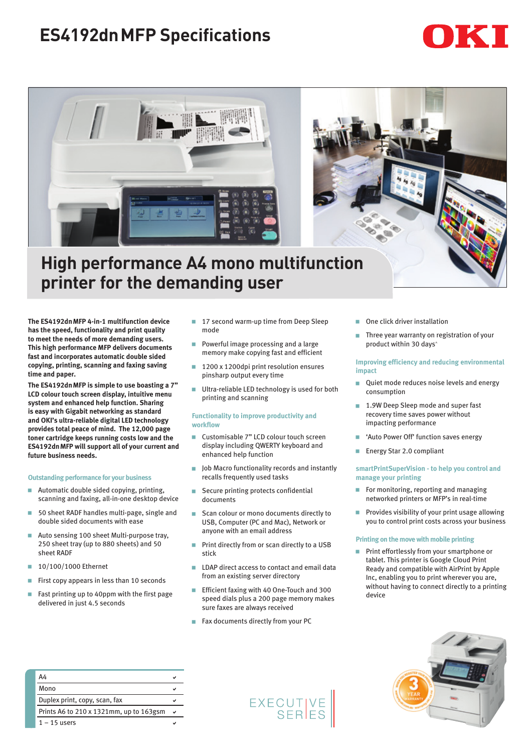# **ES4192dnMFP Specifications**





## **High performance A4 mono multifunction printer for the demanding user**

**The ES4192dnMFP 4-in-1 multifunction device has the speed, functionality and print quality to meet the needs of more demanding users. This high performance MFP delivers documents fast and incorporates automatic double sided copying, printing, scanning and faxing saving time and paper.** 

**The ES4192dnMFP is simple to use boasting a 7" LCD colour touch screen display, intuitive menu system and enhanced help function. Sharing is easy with Gigabit networking as standard and OKI's ultra-reliable digital LED technology provides total peace of mind. The 12,000 page toner cartridge keeps running costs low and the ES4192dnMFP will support all of your current and future business needs.** 

#### **Outstanding performance for your business**

- Automatic double sided copying, printing, scanning and faxing, all-in-one desktop device
- 50 sheet RADF handles multi-page, single and double sided documents with ease
- Auto sensing 100 sheet Multi-purpose trav. 250 sheet tray (up to 880 sheets) and 50 sheet RADF
- $10/100/1000$  Ethernet
- First copy appears in less than 10 seconds
- Fast printing up to 40ppm with the first page delivered in just 4.5 seconds
- 17 second warm-up time from Deep Sleep mode
- Powerful image processing and a large memory make copying fast and efficient
- 1200 x 1200dpi print resolution ensures pinsharp output every time
- Ultra-reliable LED technology is used for both printing and scanning

#### **Functionality to improve productivity and workflow**

- Customisable 7" LCD colour touch screen display including QWERTY keyboard and enhanced help function
- **D** Job Macro functionality records and instantly recalls frequently used tasks
- Secure printing protects confidential documents
- **GE Scan colour or mono documents directly to** USB, Computer (PC and Mac), Network or anyone with an email address
- Print directly from or scan directly to a USB stick
- **EXECUTE:** LDAP direct access to contact and email data from an existing server directory
- Efficient faxing with 40 One-Touch and 300 speed dials plus a 200 page memory makes sure faxes are always received
- Fax documents directly from your PC
- One click driver installation
- Three year warranty on registration of your product within 30 days^

#### **Improving efficiency and reducing environmental impact**

- Quiet mode reduces noise levels and energy consumption
- 1.9W Deep Sleep mode and super fast recovery time saves power without impacting performance
- 'Auto Power Off' function saves energy
- Energy Star 2.0 compliant

#### **smartPrintSuperVision - to help you control and manage your printing**

- For monitoring, reporting and managing networked printers or MFP's in real-time
- Provides visibility of your print usage allowing you to control print costs across your business

#### **Printing on the move with mobile printing**

Print effortlessly from your smartphone or tablet. This printer is Google Cloud Print Ready and compatible with AirPrint by Apple Inc, enabling you to print wherever you are, without having to connect directly to a printing device



| A4                                      |   |
|-----------------------------------------|---|
| Mono                                    |   |
| Duplex print, copy, scan, fax           |   |
| Prints A6 to 210 x 1321mm, up to 163gsm | v |
| $1 - 15$ users                          |   |